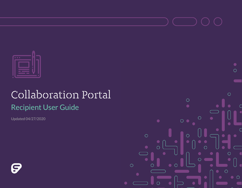

# Collaboration Portal Recipient User Guide

Updated 04/27/2020

G



 $\circ$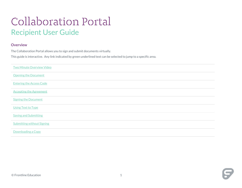## Collaboration Portal Recipient User Guide

## **Overview**

The Collaboration Portal allows you to sign and submit documents virtually.

This guide is interactive. Any link indicated by green underlined text can be selected to jump to a specific area.

<span id="page-1-0"></span>

| <b>Two Minute Overview Video</b>  |
|-----------------------------------|
| <b>Opening the Document</b>       |
| <b>Entering the Access Code</b>   |
| <b>Accepting the Agreement</b>    |
| <b>Signing the Document</b>       |
| <b>Using Text to Type</b>         |
| <b>Saving and Submitting</b>      |
| <b>Submitting without Signing</b> |
| <b>Downloading a Copy</b>         |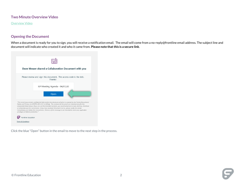## **Two Minute Overview Video**

**[Overview Video](https://frontlinetechnologies.wistia.com/medias/m1c8c8iie9)** 

#### <span id="page-2-0"></span>**Opening the Document**

When a document is ready for you to sign, you will receive a notification email. The email will come from a no-reply@frontline email address. The subject line and document will indicate who created it and who it came from. **Please note that this is a secure link**.



Click the blue "Open" button in the email to move to the next step in the process.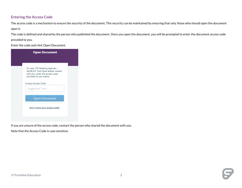## <span id="page-3-0"></span>**Entering the Access Code**

The access code is a mechanism to ensure the security of the document. This security can be maintained by ensuring that only those who should open the document open it.

The code is defined and shared by the person who published the document. Once you open the document, you will be prompted to enter the document access code provided to you.

Enter the code and click Open Document.

| <b>Open Document</b> |                                                                                                                                 |  |  |
|----------------------|---------------------------------------------------------------------------------------------------------------------------------|--|--|
|                      |                                                                                                                                 |  |  |
|                      | To view "IEP Meeting Agenda -<br>04/06/20" that Dave Messer shared<br>with you, enter the access code<br>provided to you below. |  |  |
|                      | Unique Access Code<br><b>Suggested Text</b>                                                                                     |  |  |
|                      | <b>Open Document</b>                                                                                                            |  |  |
|                      | Don't know your access code?                                                                                                    |  |  |
|                      |                                                                                                                                 |  |  |

If you are unsure of the access code, contact the person who shared the document with you

Note that the Access Code is case sensitive.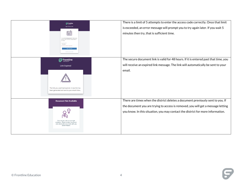| $\mathbf{G}$ frontline<br><b>Open Document</b><br>同<br>To view Torn 3's Assessment that Torn shared<br>with you, enter the access code provided to<br>you below.<br>WrongPwd<br>to many tries, please by again late | There is a limit of 5 attempts to enter the access code correctly. Once that limit<br>is exceeded, an error message will prompt you to try again later. If you wait 5<br>minutes then try, that is sufficient time.                                    |
|---------------------------------------------------------------------------------------------------------------------------------------------------------------------------------------------------------------------|--------------------------------------------------------------------------------------------------------------------------------------------------------------------------------------------------------------------------------------------------------|
| $\boldsymbol{\varphi}$ frontline<br><b>Link Expired</b><br>The link you used had expired. A new link has<br>been generated and sent to your email inbox.                                                            | The secure document link is valid for 48 hours. If it is entered past that time, you<br>will receive an expired link message. The link will automatically be sent to your<br>email.                                                                    |
| <b>Document Not Available</b><br>The link you used is no longer<br>available. Please contact the person<br>who shared the document with you<br>(Dave Messer).                                                       | There are times when the district deletes a document previously sent to you. If<br>the document you are trying to access is removed, you will get a message letting<br>you know. In this situation, you may contact the district for more information. |

 $\mathbf{G}$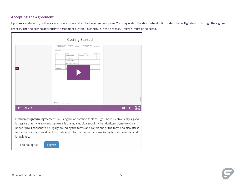#### <span id="page-5-0"></span>**Accepting The Agreement**

Upon successful entry of the access code, you are taken to the agreement page. You may watch the short introduction video that will guide you through the signing process. Then select the appropriate agreement button. To continue in the process. "I Agree" must be selected.

|      | <b>Getting Started</b>                                                                                                                                                                                                                                                                                                                                                                                                                                             |  |  |
|------|--------------------------------------------------------------------------------------------------------------------------------------------------------------------------------------------------------------------------------------------------------------------------------------------------------------------------------------------------------------------------------------------------------------------------------------------------------------------|--|--|
|      | Frontline Elementary School<br>Michaeline 1. Michaeline<br>xmichealine<br>DATEOPERTH +<br>NAME OF STUDENT<br>CAMPUS<br>$\overline{a}$<br>REDGAD#<br>SIGNATURES OF COMMITTEE MEMBERS AND OTHER PARTICIPANTS<br><b>Cute of Meeting:</b><br>Nome:<br>Position:<br>Signature:<br>Agree Disagree<br>$\sim$<br><b>Parents/Adult Student</b><br>k.<br><b>District Representative</b><br>General Education Teacher<br>Special Education Teacher/ Provider<br>Velsa Ciemons |  |  |
| 0:26 | Duration of Services: 11/19/2019 - 11/12/2020<br>Page 12 of 15<br>@ 2020 Promine Technologies Omap, LLC, All Rights Reserved.<br>ARDARD, ARD ARDARD - 333-333-3333                                                                                                                                                                                                                                                                                                 |  |  |

Electronic Signature Agreement. By using the annotation tools to sign, I have electronically signed it. I agree that my electronic signature is the legal equivalent of my handwritten signature on a paper form. I consent to be legally bound by the terms and conditions of the form and also attest to the accuracy and validity of the data and information on the form, to my best information and knowledge.

I do not agree

I agree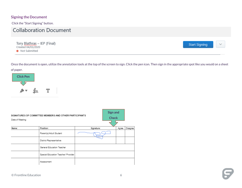## <span id="page-6-0"></span>**Signing the Document**

Click the "Start Signing" button.

## **Collaboration Document**

Tory Blathras - IEP (Final) Created 04/03/2020 • Not Submitted

**Start Signing** 

Once the document is open, utilize the annotation tools at the top of the screen to sign. Click the pen icon. Then sign in the appropriate spot like you would on a sheet of paper.



| SIGNATURES OF COMMITTEE MEMBERS AND OTHER PARTICIPANTS<br>Date of Meeting: |                                     | <b>Sign and</b><br><b>Check</b> |  |       |          |
|----------------------------------------------------------------------------|-------------------------------------|---------------------------------|--|-------|----------|
| Name:                                                                      | Position:                           | Signature:                      |  | Agree | Disagree |
|                                                                            | Parent(s)/Adult Student             |                                 |  |       |          |
|                                                                            | District Representative             |                                 |  |       |          |
|                                                                            | General Education Teacher           |                                 |  |       |          |
|                                                                            | Special Education Teacher/ Provider |                                 |  |       |          |
|                                                                            | Assessment                          |                                 |  |       |          |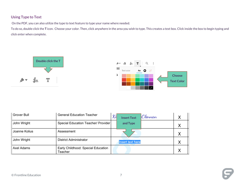## <span id="page-7-0"></span>**Using Type to Text**

On the PDF, you can also utilize the type to text feature to type your name where needed.

To do so, double click the **T** icon. Choose your color. Then, click anywhere in the area you wish to type. This creates a text box. Click inside the box to begin typing and click enter when complete.





| Grover Bull   | <b>General Education Teacher</b>              | Kd<br>Clennan<br><b>Insert Text</b> | Χ |
|---------------|-----------------------------------------------|-------------------------------------|---|
| John Wright   | Special Education Teacher/ Provider           | and Type                            | Χ |
| Joanne Kolius | Assessment                                    |                                     | Χ |
| John Wright   | <b>District Administrator</b>                 | <b>Insert text here</b>             | Χ |
| Axel Adams    | Early Childhood: Special Education<br>Teacher |                                     | Χ |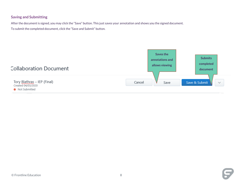## <span id="page-8-0"></span>**Saving and Submitting**

After the document is signed, you may click the "Save" button. This just saves your annotation and shows you the signed document. To submit the completed document, click the "Save and Submit" button.

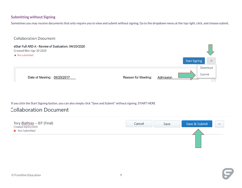## <span id="page-9-0"></span>**Submitting without Signing**

Sometimes you may receive documents that only require you to view and submit without signing. Go to the dropdown menu at the top right, click, and choose submit.



If you click the Start Signing button, you can also simply click "Save and Submit" without signing. START HERE

## **Collaboration Document**

| Tory Blathras - IEP (Final)<br>Created 04/03/2020 | Cancel | Save | Save & Submit | $\checkmark$ |
|---------------------------------------------------|--------|------|---------------|--------------|
| • Not Submitted                                   |        |      |               |              |
| and the control of the                            |        |      |               |              |
|                                                   |        |      |               |              |